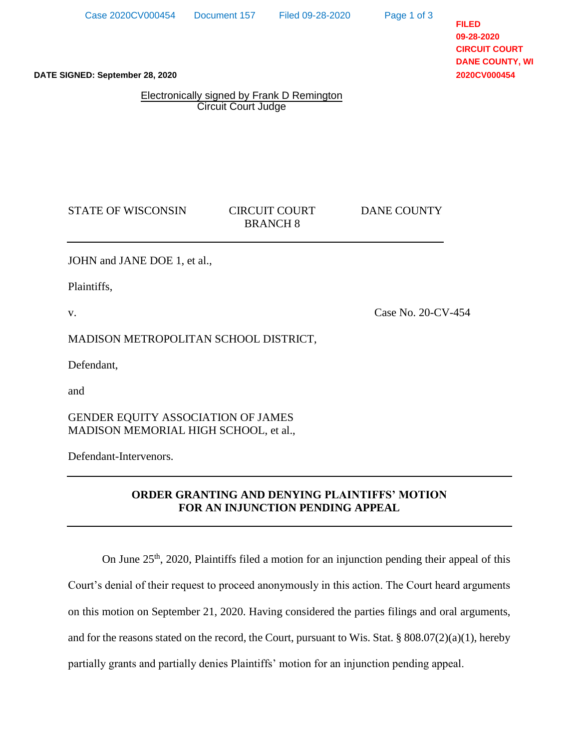Page 1 of 3

**FILED 09-28-2020 CIRCUIT COURT DANE COUNTY, WI 2020CV000454**

**DATE SIGNED: September 28, 2020**

Electronically signed by Frank D Remington Circuit Court Judge

STATE OF WISCONSIN CIRCUIT COURT DANE COUNTY

BRANCH 8

JOHN and JANE DOE 1, et al.,

Plaintiffs,

v.

Case No. 20-CV-454

MADISON METROPOLITAN SCHOOL DISTRICT,

Defendant,

and

GENDER EQUITY ASSOCIATION OF JAMES MADISON MEMORIAL HIGH SCHOOL, et al.,

Defendant-Intervenors.

## **ORDER GRANTING AND DENYING PLAINTIFFS' MOTION FOR AN INJUNCTION PENDING APPEAL**

On June 25<sup>th</sup>, 2020, Plaintiffs filed a motion for an injunction pending their appeal of this Court's denial of their request to proceed anonymously in this action. The Court heard arguments on this motion on September 21, 2020. Having considered the parties filings and oral arguments, and for the reasons stated on the record, the Court, pursuant to Wis. Stat. § 808.07(2)(a)(1), hereby partially grants and partially denies Plaintiffs' motion for an injunction pending appeal.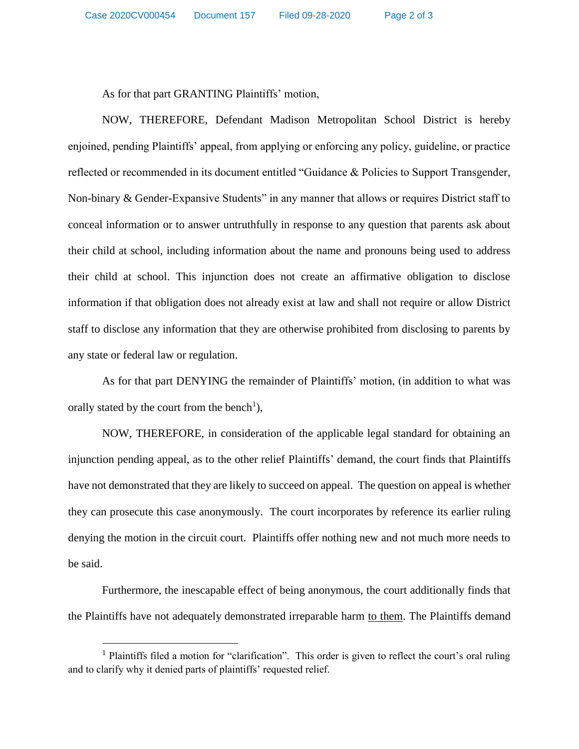As for that part GRANTING Plaintiffs' motion,

NOW, THEREFORE, Defendant Madison Metropolitan School District is hereby enjoined, pending Plaintiffs' appeal, from applying or enforcing any policy, guideline, or practice reflected or recommended in its document entitled "Guidance & Policies to Support Transgender, Non-binary & Gender-Expansive Students" in any manner that allows or requires District staff to conceal information or to answer untruthfully in response to any question that parents ask about their child at school, including information about the name and pronouns being used to address their child at school. This injunction does not create an affirmative obligation to disclose information if that obligation does not already exist at law and shall not require or allow District staff to disclose any information that they are otherwise prohibited from disclosing to parents by any state or federal law or regulation.

As for that part DENYING the remainder of Plaintiffs' motion, (in addition to what was orally stated by the court from the bench<sup>1</sup>),

NOW, THEREFORE, in consideration of the applicable legal standard for obtaining an injunction pending appeal, as to the other relief Plaintiffs' demand, the court finds that Plaintiffs have not demonstrated that they are likely to succeed on appeal. The question on appeal is whether they can prosecute this case anonymously. The court incorporates by reference its earlier ruling denying the motion in the circuit court. Plaintiffs offer nothing new and not much more needs to be said.

Furthermore, the inescapable effect of being anonymous, the court additionally finds that the Plaintiffs have not adequately demonstrated irreparable harm to them. The Plaintiffs demand

 $\overline{a}$ 

<sup>&</sup>lt;sup>1</sup> Plaintiffs filed a motion for "clarification". This order is given to reflect the court's oral ruling and to clarify why it denied parts of plaintiffs' requested relief.